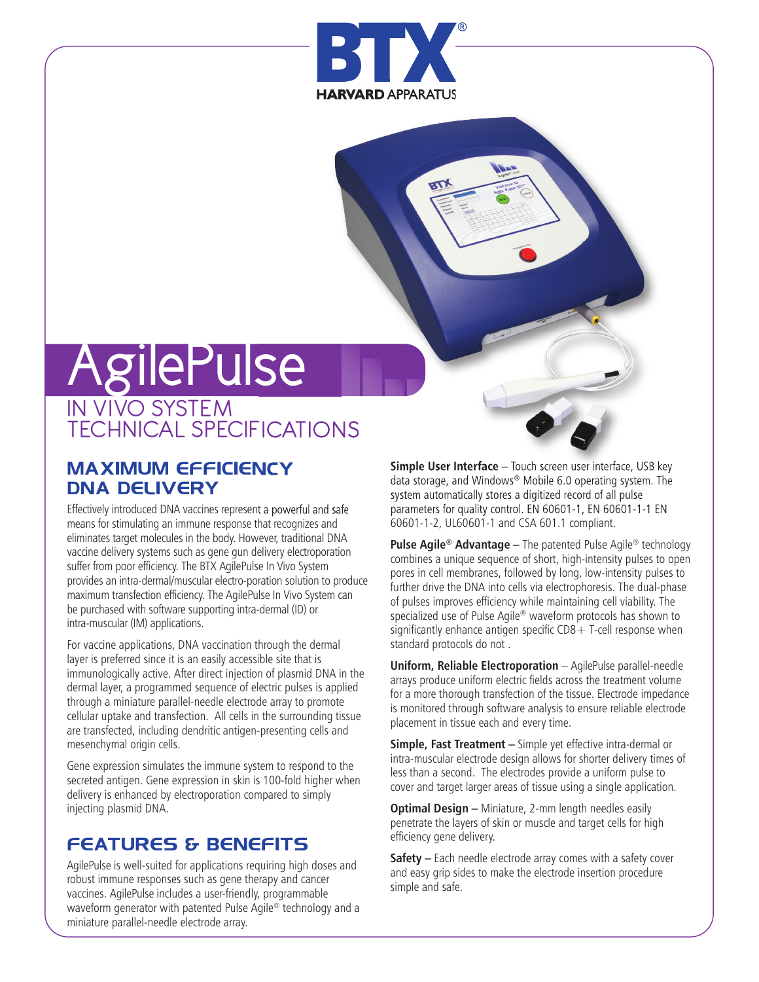

# AgilePulse

# IN VIVO SYSTEM TECHNICAL SPECIFICATIONS

## **MAXIMUM EFFICIENCY DNA DELIVERY**

Effectively introduced DNA vaccines represent a powerful and safe means for stimulating an immune response that recognizes and eliminates target molecules in the body. However, traditional DNA vaccine delivery systems such as gene gun delivery electroporation suffer from poor efficiency. The BTX AgilePulse In Vivo System provides an intra-dermal/muscular electro-poration solution to produce maximum transfection efficiency. The AgilePulse In Vivo System can be purchased with software supporting intra-dermal (ID) or intra-muscular (IM) applications.

For vaccine applications, DNA vaccination through the dermal layer is preferred since it is an easily accessible site that is immunologically active. After direct injection of plasmid DNA in the dermal layer, a programmed sequence of electric pulses is applied through a miniature parallel-needle electrode array to promote cellular uptake and transfection. All cells in the surrounding tissue are transfected, including dendritic antigen-presenting cells and mesenchymal origin cells.

Gene expression simulates the immune system to respond to the secreted antigen. Gene expression in skin is 100-fold higher when delivery is enhanced by electroporation compared to simply injecting plasmid DNA.

## **FEATURES & BENEFITS**

AgilePulse is well-suited for applications requiring high doses and robust immune responses such as gene therapy and cancer vaccines. AgilePulse includes a user-friendly, programmable waveform generator with patented Pulse Agile® technology and a miniature parallel-needle electrode array.

**Simple User Interface –** Touch screen user interface, USB key data storage, and Windows® Mobile 6.0 operating system. The system automatically stores a digitized record of all pulse parameters for quality control. EN 60601-1, EN 60601-1-1 EN 60601-1-2, UL60601-1 and CSA 601.1 compliant.

**Pulse Agile® Advantage –** The patented Pulse Agile® technology combines a unique sequence of short, high-intensity pulses to open pores in cell membranes, followed by long, low-intensity pulses to further drive the DNA into cells via electrophoresis. The dual-phase of pulses improves efficiency while maintaining cell viability. The specialized use of Pulse Agile® waveform protocols has shown to significantly enhance antigen specific  $CDS + T$ -cell response when standard protocols do not .

**Uniform, Reliable Electroporation** – AgilePulse parallel-needle arrays produce uniform electric fields across the treatment volume for a more thorough transfection of the tissue. Electrode impedance is monitored through software analysis to ensure reliable electrode placement in tissue each and every time.

**Simple, Fast Treatment –** Simple yet effective intra-dermal or intra-muscular electrode design allows for shorter delivery times of less than a second. The electrodes provide a uniform pulse to cover and target larger areas of tissue using a single application.

**Optimal Design –** Miniature, 2-mm length needles easily penetrate the layers of skin or muscle and target cells for high efficiency gene delivery.

**Safety –** Each needle electrode array comes with a safety cover and easy grip sides to make the electrode insertion procedure simple and safe.